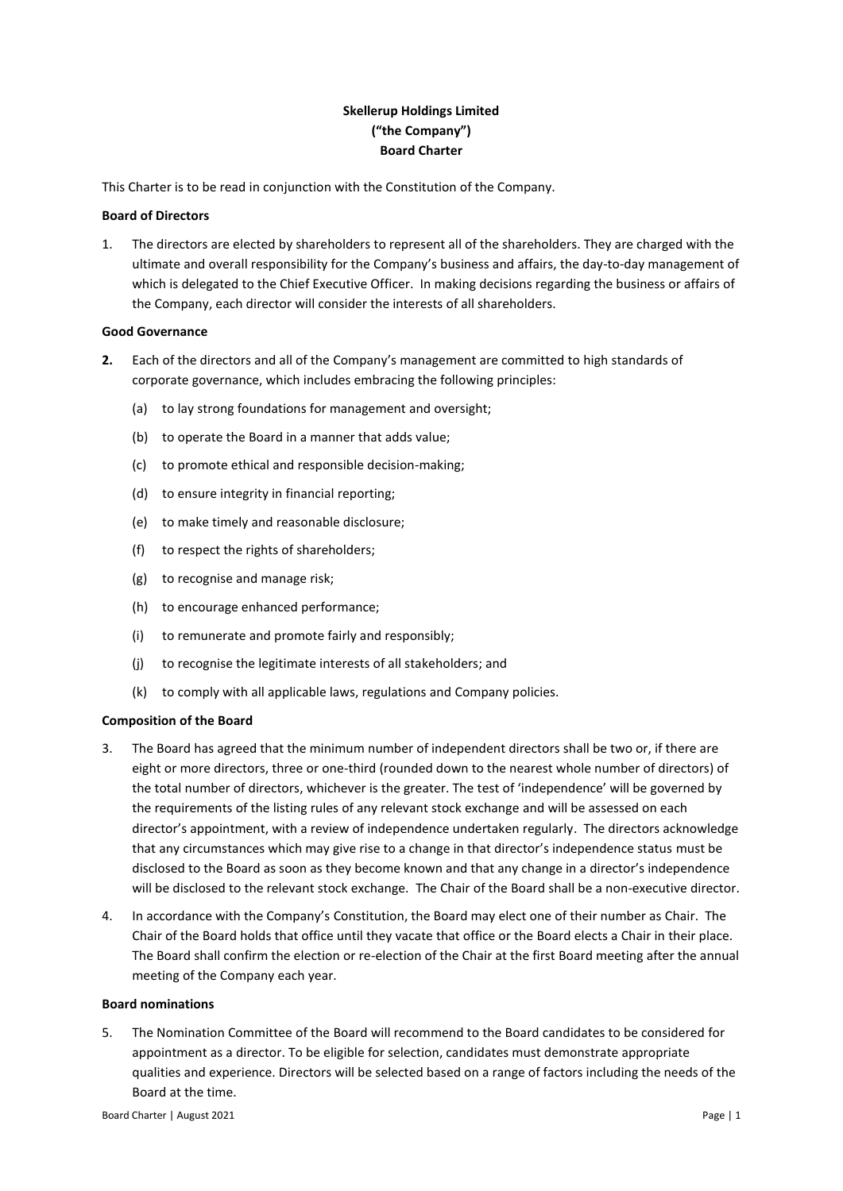# **Skellerup Holdings Limited ("the Company") Board Charter**

This Charter is to be read in conjunction with the Constitution of the Company.

# **Board of Directors**

1. The directors are elected by shareholders to represent all of the shareholders. They are charged with the ultimate and overall responsibility for the Company's business and affairs, the day-to-day management of which is delegated to the Chief Executive Officer. In making decisions regarding the business or affairs of the Company, each director will consider the interests of all shareholders.

# **Good Governance**

- **2.** Each of the directors and all of the Company's management are committed to high standards of corporate governance, which includes embracing the following principles:
	- (a) to lay strong foundations for management and oversight;
	- (b) to operate the Board in a manner that adds value;
	- (c) to promote ethical and responsible decision-making;
	- (d) to ensure integrity in financial reporting;
	- (e) to make timely and reasonable disclosure;
	- (f) to respect the rights of shareholders;
	- (g) to recognise and manage risk;
	- (h) to encourage enhanced performance;
	- (i) to remunerate and promote fairly and responsibly;
	- (j) to recognise the legitimate interests of all stakeholders; and
	- (k) to comply with all applicable laws, regulations and Company policies.

# **Composition of the Board**

- 3. The Board has agreed that the minimum number of independent directors shall be two or, if there are eight or more directors, three or one-third (rounded down to the nearest whole number of directors) of the total number of directors, whichever is the greater. The test of 'independence' will be governed by the requirements of the listing rules of any relevant stock exchange and will be assessed on each director's appointment, with a review of independence undertaken regularly. The directors acknowledge that any circumstances which may give rise to a change in that director's independence status must be disclosed to the Board as soon as they become known and that any change in a director's independence will be disclosed to the relevant stock exchange. The Chair of the Board shall be a non-executive director.
- 4. In accordance with the Company's Constitution, the Board may elect one of their number as Chair. The Chair of the Board holds that office until they vacate that office or the Board elects a Chair in their place. The Board shall confirm the election or re-election of the Chair at the first Board meeting after the annual meeting of the Company each year.

#### **Board nominations**

5. The Nomination Committee of the Board will recommend to the Board candidates to be considered for appointment as a director. To be eligible for selection, candidates must demonstrate appropriate qualities and experience. Directors will be selected based on a range of factors including the needs of the Board at the time.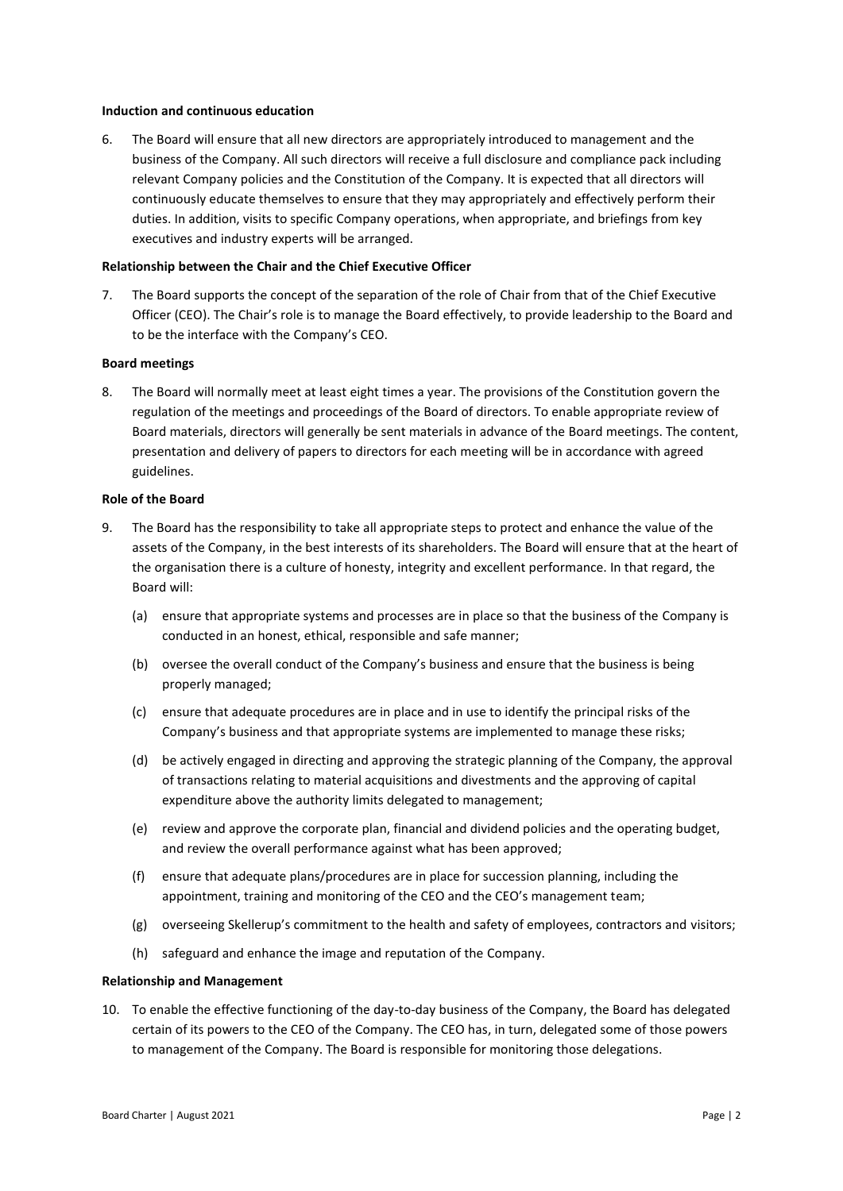#### **Induction and continuous education**

6. The Board will ensure that all new directors are appropriately introduced to management and the business of the Company. All such directors will receive a full disclosure and compliance pack including relevant Company policies and the Constitution of the Company. It is expected that all directors will continuously educate themselves to ensure that they may appropriately and effectively perform their duties. In addition, visits to specific Company operations, when appropriate, and briefings from key executives and industry experts will be arranged.

## **Relationship between the Chair and the Chief Executive Officer**

7. The Board supports the concept of the separation of the role of Chair from that of the Chief Executive Officer (CEO). The Chair's role is to manage the Board effectively, to provide leadership to the Board and to be the interface with the Company's CEO.

## **Board meetings**

8. The Board will normally meet at least eight times a year. The provisions of the Constitution govern the regulation of the meetings and proceedings of the Board of directors. To enable appropriate review of Board materials, directors will generally be sent materials in advance of the Board meetings. The content, presentation and delivery of papers to directors for each meeting will be in accordance with agreed guidelines.

#### **Role of the Board**

- 9. The Board has the responsibility to take all appropriate steps to protect and enhance the value of the assets of the Company, in the best interests of its shareholders. The Board will ensure that at the heart of the organisation there is a culture of honesty, integrity and excellent performance. In that regard, the Board will:
	- (a) ensure that appropriate systems and processes are in place so that the business of the Company is conducted in an honest, ethical, responsible and safe manner;
	- (b) oversee the overall conduct of the Company's business and ensure that the business is being properly managed;
	- (c) ensure that adequate procedures are in place and in use to identify the principal risks of the Company's business and that appropriate systems are implemented to manage these risks;
	- (d) be actively engaged in directing and approving the strategic planning of the Company, the approval of transactions relating to material acquisitions and divestments and the approving of capital expenditure above the authority limits delegated to management;
	- (e) review and approve the corporate plan, financial and dividend policies and the operating budget, and review the overall performance against what has been approved;
	- (f) ensure that adequate plans/procedures are in place for succession planning, including the appointment, training and monitoring of the CEO and the CEO's management team;
	- (g) overseeing Skellerup's commitment to the health and safety of employees, contractors and visitors;
	- (h) safeguard and enhance the image and reputation of the Company.

## **Relationship and Management**

10. To enable the effective functioning of the day-to-day business of the Company, the Board has delegated certain of its powers to the CEO of the Company. The CEO has, in turn, delegated some of those powers to management of the Company. The Board is responsible for monitoring those delegations.